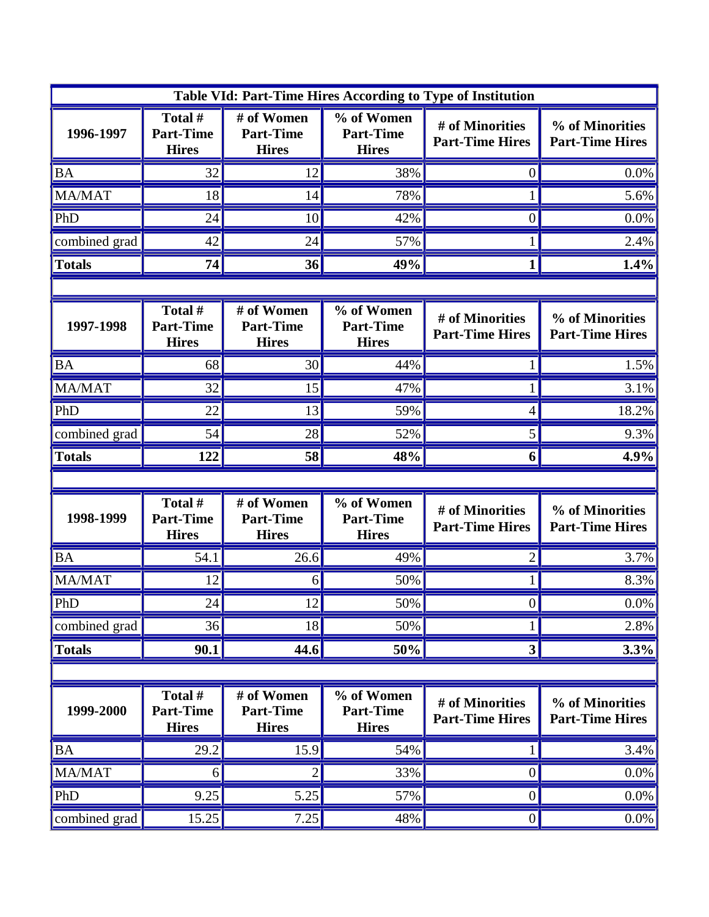| Table VId: Part-Time Hires According to Type of Institution |                                             |                                                |                                                |                                           |                                           |  |  |
|-------------------------------------------------------------|---------------------------------------------|------------------------------------------------|------------------------------------------------|-------------------------------------------|-------------------------------------------|--|--|
| 1996-1997                                                   | Total #<br><b>Part-Time</b><br><b>Hires</b> | # of Women<br><b>Part-Time</b><br><b>Hires</b> | % of Women<br><b>Part-Time</b><br><b>Hires</b> | # of Minorities<br><b>Part-Time Hires</b> | % of Minorities<br><b>Part-Time Hires</b> |  |  |
| <b>BA</b>                                                   | 32                                          | 12                                             | 38%                                            | 0                                         | 0.0%                                      |  |  |
| MA/MAT                                                      | 18                                          | 14                                             | 78%                                            |                                           | 5.6%                                      |  |  |
| PhD                                                         | 24                                          | 10                                             | 42%                                            | $\overline{0}$                            | 0.0%                                      |  |  |
| combined grad                                               | 42                                          | 24                                             | 57%                                            |                                           | 2.4%                                      |  |  |
| <b>Totals</b>                                               | 74                                          | 36                                             | 49%                                            |                                           | 1.4%                                      |  |  |
|                                                             |                                             |                                                |                                                |                                           |                                           |  |  |
| 1997-1998                                                   | Total #<br><b>Part-Time</b><br><b>Hires</b> | # of Women<br><b>Part-Time</b><br><b>Hires</b> | % of Women<br><b>Part-Time</b><br><b>Hires</b> | # of Minorities<br><b>Part-Time Hires</b> | % of Minorities<br><b>Part-Time Hires</b> |  |  |
| <b>BA</b>                                                   | 68                                          | 30                                             | 44%                                            |                                           | 1.5%                                      |  |  |
| MA/MAT                                                      | 32                                          | 15                                             | 47%                                            |                                           | 3.1%                                      |  |  |
| PhD                                                         | 22                                          | 13                                             | 59%                                            | 4                                         | 18.2%                                     |  |  |
| combined grad                                               | 54                                          | 28                                             | 52%                                            | 5                                         | 9.3%                                      |  |  |
| <b>Totals</b>                                               | 122                                         | 58                                             | 48%                                            | 6                                         | 4.9%                                      |  |  |
|                                                             |                                             |                                                |                                                |                                           |                                           |  |  |
| 1998-1999                                                   | Total #<br><b>Part-Time</b><br><b>Hires</b> | # of Women<br><b>Part-Time</b><br><b>Hires</b> | % of Women<br><b>Part-Time</b><br><b>Hires</b> | # of Minorities<br><b>Part-Time Hires</b> | % of Minorities<br><b>Part-Time Hires</b> |  |  |
| <b>BA</b>                                                   | 54.1                                        | 26.6                                           | 49%                                            | 2                                         | 3.7%                                      |  |  |
| <b>MA/MAT</b>                                               | 12                                          | 6                                              | 50%                                            |                                           | 8.3%                                      |  |  |
| PhD                                                         | 24                                          | 12                                             | 50%                                            | $\vert 0 \vert$                           | $0.0\%$                                   |  |  |
| combined grad                                               | 36                                          | 18                                             | 50%                                            |                                           | 2.8%                                      |  |  |
| <b>Totals</b>                                               | 90.1                                        | 44.6                                           | 50%                                            | 3                                         | 3.3%                                      |  |  |
|                                                             |                                             |                                                |                                                |                                           |                                           |  |  |
| 1999-2000                                                   | Total #<br><b>Part-Time</b><br><b>Hires</b> | # of Women<br><b>Part-Time</b><br><b>Hires</b> | % of Women<br><b>Part-Time</b><br><b>Hires</b> | # of Minorities<br><b>Part-Time Hires</b> | % of Minorities<br><b>Part-Time Hires</b> |  |  |
| <b>BA</b>                                                   | 29.2                                        | 15.9                                           | 54%                                            |                                           | 3.4%                                      |  |  |
| MA/MAT                                                      | 6                                           | $\overline{2}$                                 | 33%                                            | $\boldsymbol{0}$                          | 0.0%                                      |  |  |
| PhD                                                         | 9.25                                        | 5.25                                           | 57%                                            | $\boldsymbol{0}$                          | 0.0%                                      |  |  |
| combined grad                                               | 15.25                                       | 7.25                                           | 48%                                            | $\boldsymbol{0}$                          | $0.0\%$                                   |  |  |